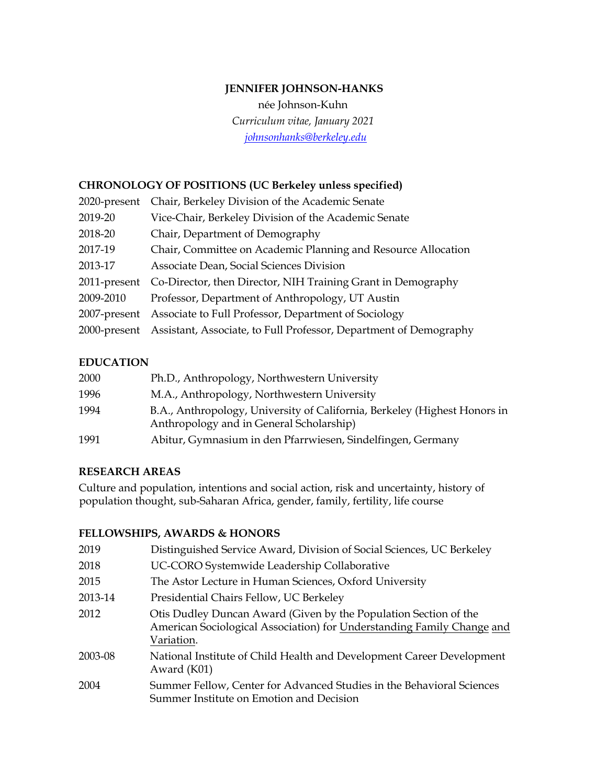# **JENNIFER JOHNSON-HANKS**

née Johnson-Kuhn *Curriculum vitae, January 2021 johnsonhanks@berkeley.edu*

### **CHRONOLOGY OF POSITIONS (UC Berkeley unless specified)**

| 2020-present | Chair, Berkeley Division of the Academic Senate                   |
|--------------|-------------------------------------------------------------------|
| 2019-20      | Vice-Chair, Berkeley Division of the Academic Senate              |
| 2018-20      | Chair, Department of Demography                                   |
| 2017-19      | Chair, Committee on Academic Planning and Resource Allocation     |
| 2013-17      | Associate Dean, Social Sciences Division                          |
| 2011-present | Co-Director, then Director, NIH Training Grant in Demography      |
| 2009-2010    | Professor, Department of Anthropology, UT Austin                  |
| 2007-present | Associate to Full Professor, Department of Sociology              |
| 2000-present | Assistant, Associate, to Full Professor, Department of Demography |

### **EDUCATION**

| 2000 | Ph.D., Anthropology, Northwestern University                                                                          |
|------|-----------------------------------------------------------------------------------------------------------------------|
| 1996 | M.A., Anthropology, Northwestern University                                                                           |
| 1994 | B.A., Anthropology, University of California, Berkeley (Highest Honors in<br>Anthropology and in General Scholarship) |
| 1991 | Abitur, Gymnasium in den Pfarrwiesen, Sindelfingen, Germany                                                           |

#### **RESEARCH AREAS**

Culture and population, intentions and social action, risk and uncertainty, history of population thought, sub-Saharan Africa, gender, family, fertility, life course

#### **FELLOWSHIPS, AWARDS & HONORS**

| Distinguished Service Award, Division of Social Sciences, UC Berkeley                                                                                    |
|----------------------------------------------------------------------------------------------------------------------------------------------------------|
| UC-CORO Systemwide Leadership Collaborative                                                                                                              |
| The Astor Lecture in Human Sciences, Oxford University                                                                                                   |
| Presidential Chairs Fellow, UC Berkeley                                                                                                                  |
| Otis Dudley Duncan Award (Given by the Population Section of the<br>American Sociological Association) for Understanding Family Change and<br>Variation. |
| National Institute of Child Health and Development Career Development<br>Award (K01)                                                                     |
| Summer Fellow, Center for Advanced Studies in the Behavioral Sciences<br>Summer Institute on Emotion and Decision                                        |
|                                                                                                                                                          |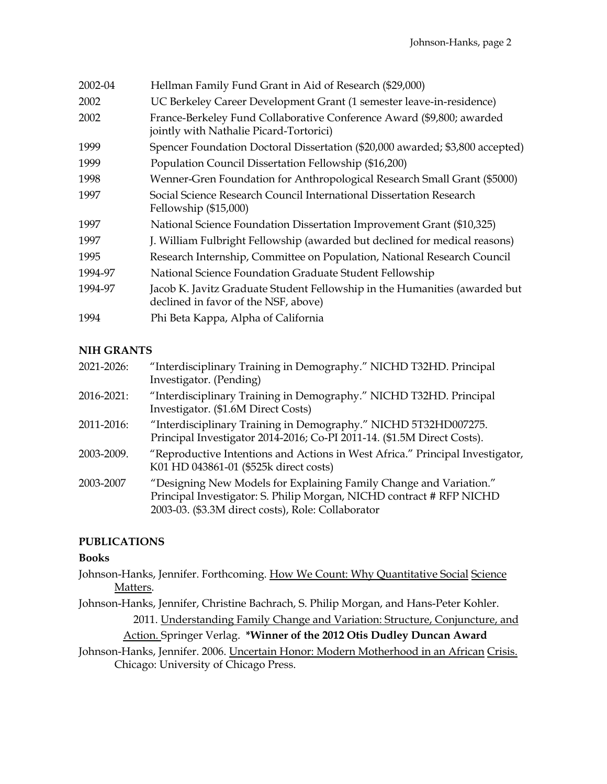| 2002-04 | Hellman Family Fund Grant in Aid of Research (\$29,000)                                                            |
|---------|--------------------------------------------------------------------------------------------------------------------|
| 2002    | UC Berkeley Career Development Grant (1 semester leave-in-residence)                                               |
| 2002    | France-Berkeley Fund Collaborative Conference Award (\$9,800; awarded<br>jointly with Nathalie Picard-Tortorici)   |
| 1999    | Spencer Foundation Doctoral Dissertation (\$20,000 awarded; \$3,800 accepted)                                      |
| 1999    | Population Council Dissertation Fellowship (\$16,200)                                                              |
| 1998    | Wenner-Gren Foundation for Anthropological Research Small Grant (\$5000)                                           |
| 1997    | Social Science Research Council International Dissertation Research<br>Fellowship $(\$15,000)$                     |
| 1997    | National Science Foundation Dissertation Improvement Grant (\$10,325)                                              |
| 1997    | J. William Fulbright Fellowship (awarded but declined for medical reasons)                                         |
| 1995    | Research Internship, Committee on Population, National Research Council                                            |
| 1994-97 | National Science Foundation Graduate Student Fellowship                                                            |
| 1994-97 | Jacob K. Javitz Graduate Student Fellowship in the Humanities (awarded but<br>declined in favor of the NSF, above) |
| 1994    | Phi Beta Kappa, Alpha of California                                                                                |

# **NIH GRANTS**

| 2021-2026: | "Interdisciplinary Training in Demography." NICHD T32HD. Principal<br>Investigator. (Pending)                                                                                                    |
|------------|--------------------------------------------------------------------------------------------------------------------------------------------------------------------------------------------------|
| 2016-2021: | "Interdisciplinary Training in Demography." NICHD T32HD. Principal<br>Investigator. (\$1.6M Direct Costs)                                                                                        |
| 2011-2016: | "Interdisciplinary Training in Demography." NICHD 5T32HD007275.<br>Principal Investigator 2014-2016; Co-PI 2011-14. (\$1.5M Direct Costs).                                                       |
| 2003-2009. | "Reproductive Intentions and Actions in West Africa." Principal Investigator,<br>K01 HD 043861-01 (\$525k direct costs)                                                                          |
| 2003-2007  | "Designing New Models for Explaining Family Change and Variation."<br>Principal Investigator: S. Philip Morgan, NICHD contract # RFP NICHD<br>2003-03. (\$3.3M direct costs), Role: Collaborator |

# **PUBLICATIONS**

#### **Books**

- Johnson-Hanks, Jennifer. Forthcoming. How We Count: Why Quantitative Social Science Matters.
- Johnson-Hanks, Jennifer, Christine Bachrach, S. Philip Morgan, and Hans-Peter Kohler. 2011. Understanding Family Change and Variation: Structure, Conjuncture, and

### Action. Springer Verlag. **\*Winner of the 2012 Otis Dudley Duncan Award**

Johnson-Hanks, Jennifer. 2006. Uncertain Honor: Modern Motherhood in an African Crisis. Chicago: University of Chicago Press.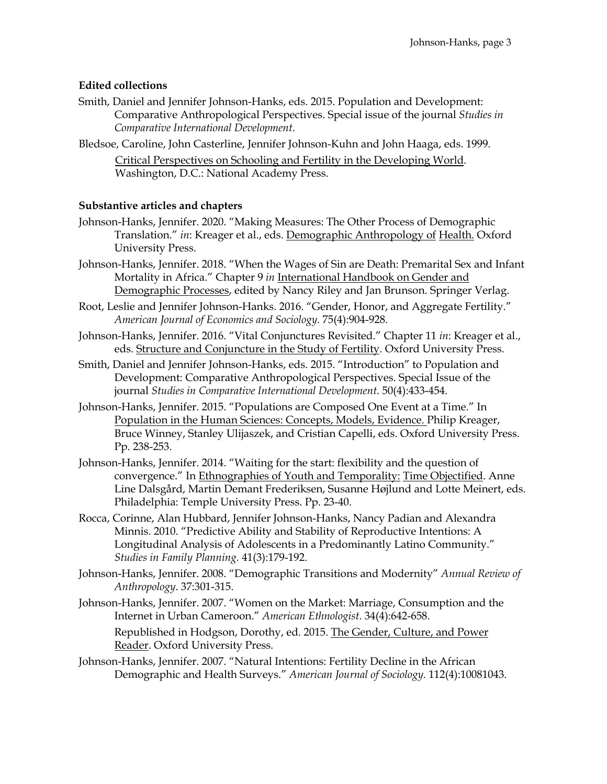### **Edited collections**

- Smith, Daniel and Jennifer Johnson-Hanks, eds. 2015. Population and Development: Comparative Anthropological Perspectives. Special issue of the journal *Studies in Comparative International Development*.
- Bledsoe, Caroline, John Casterline, Jennifer Johnson-Kuhn and John Haaga, eds. 1999. Critical Perspectives on Schooling and Fertility in the Developing World. Washington, D.C.: National Academy Press.

#### **Substantive articles and chapters**

- Johnson-Hanks, Jennifer. 2020. "Making Measures: The Other Process of Demographic Translation." *in*: Kreager et al., eds. Demographic Anthropology of Health. Oxford University Press.
- Johnson-Hanks, Jennifer. 2018. "When the Wages of Sin are Death: Premarital Sex and Infant Mortality in Africa." Chapter 9 *in* International Handbook on Gender and Demographic Processes, edited by Nancy Riley and Jan Brunson. Springer Verlag.
- Root, Leslie and Jennifer Johnson-Hanks. 2016. "Gender, Honor, and Aggregate Fertility." *American Journal of Economics and Sociology.* 75(4):904-928.
- Johnson-Hanks, Jennifer. 2016. "Vital Conjunctures Revisited." Chapter 11 *in*: Kreager et al., eds. Structure and Conjuncture in the Study of Fertility. Oxford University Press.
- Smith, Daniel and Jennifer Johnson-Hanks, eds. 2015. "Introduction" to Population and Development: Comparative Anthropological Perspectives. Special Issue of the journal *Studies in Comparative International Development*. 50(4):433-454.
- Johnson-Hanks, Jennifer. 2015. "Populations are Composed One Event at a Time." In Population in the Human Sciences: Concepts, Models, Evidence. Philip Kreager, Bruce Winney, Stanley Ulijaszek, and Cristian Capelli, eds. Oxford University Press. Pp. 238-253.
- Johnson-Hanks, Jennifer. 2014. "Waiting for the start: flexibility and the question of convergence." In Ethnographies of Youth and Temporality: Time Objectified. Anne Line Dalsgård, Martin Demant Frederiksen, Susanne Højlund and Lotte Meinert, eds. Philadelphia: Temple University Press. Pp. 23-40.
- Rocca, Corinne, Alan Hubbard, Jennifer Johnson-Hanks, Nancy Padian and Alexandra Minnis. 2010. "Predictive Ability and Stability of Reproductive Intentions: A Longitudinal Analysis of Adolescents in a Predominantly Latino Community." *Studies in Family Planning.* 41(3):179-192.
- Johnson-Hanks, Jennifer. 2008. "Demographic Transitions and Modernity" *Annual Review of Anthropology*. 37:301-315.
- Johnson-Hanks, Jennifer. 2007. "Women on the Market: Marriage, Consumption and the Internet in Urban Cameroon." *American Ethnologist*. 34(4):642-658. Republished in Hodgson, Dorothy, ed. 2015. The Gender, Culture, and Power Reader. Oxford University Press.
- Johnson-Hanks, Jennifer. 2007. "Natural Intentions: Fertility Decline in the African Demographic and Health Surveys." *American Journal of Sociology.* 112(4):10081043.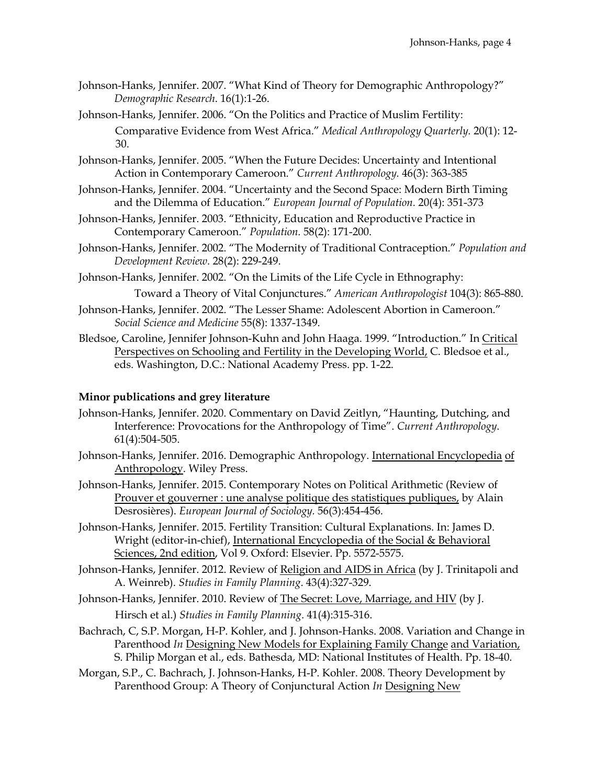Johnson-Hanks, Jennifer. 2007. "What Kind of Theory for Demographic Anthropology?" *Demographic Research*. 16(1):1-26.

Johnson-Hanks, Jennifer. 2006. "On the Politics and Practice of Muslim Fertility: Comparative Evidence from West Africa." *Medical Anthropology Quarterly.* 20(1): 12- 30.

- Johnson-Hanks, Jennifer. 2005. "When the Future Decides: Uncertainty and Intentional Action in Contemporary Cameroon." *Current Anthropology.* 46(3): 363-385
- Johnson-Hanks, Jennifer. 2004. "Uncertainty and the Second Space: Modern Birth Timing and the Dilemma of Education." *European Journal of Population.* 20(4): 351-373
- Johnson-Hanks, Jennifer. 2003. "Ethnicity, Education and Reproductive Practice in Contemporary Cameroon." *Population.* 58(2): 171-200.
- Johnson-Hanks, Jennifer. 2002. "The Modernity of Traditional Contraception." *Population and Development Review.* 28(2): 229-249.
- Johnson-Hanks, Jennifer. 2002. "On the Limits of the Life Cycle in Ethnography:

Toward a Theory of Vital Conjunctures." *American Anthropologist* 104(3): 865-880.

- Johnson-Hanks, Jennifer. 2002. "The Lesser Shame: Adolescent Abortion in Cameroon." *Social Science and Medicine* 55(8): 1337-1349.
- Bledsoe, Caroline, Jennifer Johnson-Kuhn and John Haaga. 1999. "Introduction." In Critical Perspectives on Schooling and Fertility in the Developing World, C. Bledsoe et al., eds. Washington, D.C.: National Academy Press. pp. 1-22.

### **Minor publications and grey literature**

- Johnson-Hanks, Jennifer. 2020. Commentary on David Zeitlyn, "Haunting, Dutching, and Interference: Provocations for the Anthropology of Time". *Current Anthropology*. 61(4):504-505.
- Johnson-Hanks, Jennifer. 2016. Demographic Anthropology. International Encyclopedia of Anthropology. Wiley Press.
- Johnson-Hanks, Jennifer. 2015. Contemporary Notes on Political Arithmetic (Review of Prouver et gouverner : une analyse politique des statistiques publiques, by Alain Desrosières). *European Journal of Sociology.* 56(3):454-456.
- Johnson-Hanks, Jennifer. 2015. Fertility Transition: Cultural Explanations. In: James D. Wright (editor-in-chief), International Encyclopedia of the Social & Behavioral Sciences, 2nd edition, Vol 9. Oxford: Elsevier. Pp. 5572-5575.
- Johnson-Hanks, Jennifer. 2012. Review of Religion and AIDS in Africa (by J. Trinitapoli and A. Weinreb). *Studies in Family Planning*. 43(4):327-329.
- Johnson-Hanks, Jennifer. 2010. Review of The Secret: Love, Marriage, and HIV (by J. Hirsch et al.) *Studies in Family Planning*. 41(4):315-316.
- Bachrach, C, S.P. Morgan, H-P. Kohler, and J. Johnson-Hanks. 2008. Variation and Change in Parenthood *In* Designing New Models for Explaining Family Change and Variation, S. Philip Morgan et al., eds. Bathesda, MD: National Institutes of Health. Pp. 18-40.
- Morgan, S.P., C. Bachrach, J. Johnson-Hanks, H-P. Kohler. 2008. Theory Development by Parenthood Group: A Theory of Conjunctural Action *In* Designing New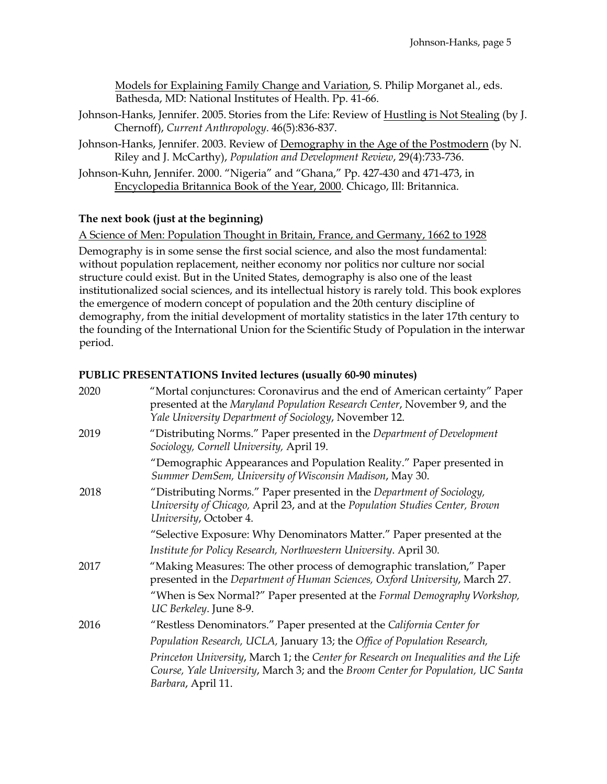Models for Explaining Family Change and Variation, S. Philip Morganet al., eds. Bathesda, MD: National Institutes of Health. Pp. 41-66.

- Johnson-Hanks, Jennifer. 2005. Stories from the Life: Review of Hustling is Not Stealing (by J. Chernoff), *Current Anthropology*. 46(5):836-837.
- Johnson-Hanks, Jennifer. 2003. Review of Demography in the Age of the Postmodern (by N. Riley and J. McCarthy), *Population and Development Review*, 29(4):733-736.
- Johnson-Kuhn, Jennifer. 2000. "Nigeria" and "Ghana," Pp. 427-430 and 471-473, in Encyclopedia Britannica Book of the Year, 2000. Chicago, Ill: Britannica.

### **The next book (just at the beginning)**

A Science of Men: Population Thought in Britain, France, and Germany, 1662 to 1928

Demography is in some sense the first social science, and also the most fundamental: without population replacement, neither economy nor politics nor culture nor social structure could exist. But in the United States, demography is also one of the least institutionalized social sciences, and its intellectual history is rarely told. This book explores the emergence of modern concept of population and the 20th century discipline of demography, from the initial development of mortality statistics in the later 17th century to the founding of the International Union for the Scientific Study of Population in the interwar period.

### **PUBLIC PRESENTATIONS Invited lectures (usually 60-90 minutes)**

| 2020 | "Mortal conjunctures: Coronavirus and the end of American certainty" Paper<br>presented at the Maryland Population Research Center, November 9, and the<br>Yale University Department of Sociology, November 12. |
|------|------------------------------------------------------------------------------------------------------------------------------------------------------------------------------------------------------------------|
| 2019 | "Distributing Norms." Paper presented in the Department of Development<br>Sociology, Cornell University, April 19.                                                                                               |
|      | "Demographic Appearances and Population Reality." Paper presented in<br>Summer DemSem, University of Wisconsin Madison, May 30.                                                                                  |
| 2018 | "Distributing Norms." Paper presented in the Department of Sociology,<br>University of Chicago, April 23, and at the Population Studies Center, Brown<br>University, October 4.                                  |
|      | "Selective Exposure: Why Denominators Matter." Paper presented at the                                                                                                                                            |
|      | Institute for Policy Research, Northwestern University. April 30.                                                                                                                                                |
| 2017 | "Making Measures: The other process of demographic translation," Paper<br>presented in the Department of Human Sciences, Oxford University, March 27.                                                            |
|      | "When is Sex Normal?" Paper presented at the Formal Demography Workshop,<br>UC Berkeley. June 8-9.                                                                                                               |
| 2016 | "Restless Denominators." Paper presented at the California Center for                                                                                                                                            |
|      | Population Research, UCLA, January 13; the Office of Population Research,                                                                                                                                        |
|      | Princeton University, March 1; the Center for Research on Inequalities and the Life<br>Course, Yale University, March 3; and the Broom Center for Population, UC Santa<br>Barbara, April 11.                     |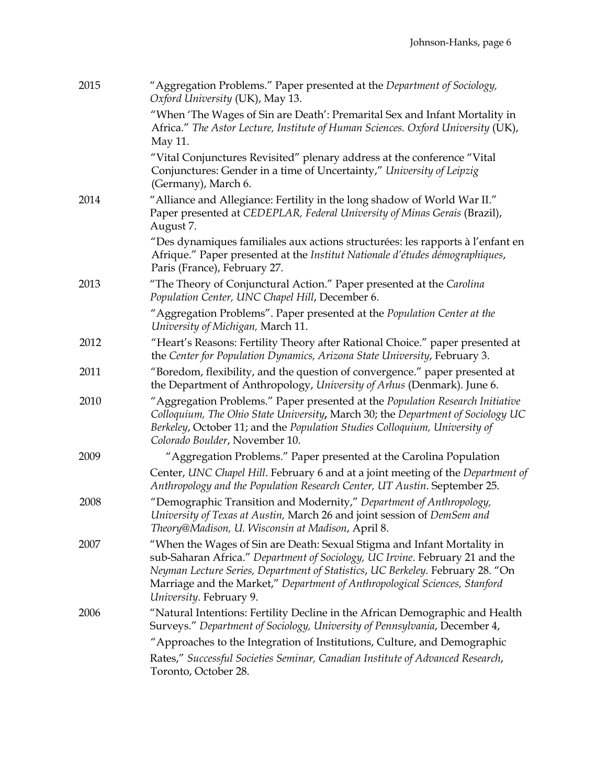| 2015 | "Aggregation Problems." Paper presented at the Department of Sociology,<br>Oxford University (UK), May 13.                                                                                                                                                                                                                                         |
|------|----------------------------------------------------------------------------------------------------------------------------------------------------------------------------------------------------------------------------------------------------------------------------------------------------------------------------------------------------|
|      | "When 'The Wages of Sin are Death': Premarital Sex and Infant Mortality in<br>Africa." The Astor Lecture, Institute of Human Sciences. Oxford University (UK),<br>May 11.                                                                                                                                                                          |
|      | "Vital Conjunctures Revisited" plenary address at the conference "Vital<br>Conjunctures: Gender in a time of Uncertainty," University of Leipzig<br>(Germany), March 6.                                                                                                                                                                            |
| 2014 | "Alliance and Allegiance: Fertility in the long shadow of World War II."<br>Paper presented at CEDEPLAR, Federal University of Minas Gerais (Brazil),<br>August 7.                                                                                                                                                                                 |
|      | "Des dynamiques familiales aux actions structurées: les rapports à l'enfant en<br>Afrique." Paper presented at the Institut Nationale d'études démographiques,<br>Paris (France), February 27.                                                                                                                                                     |
| 2013 | "The Theory of Conjunctural Action." Paper presented at the Carolina<br>Population Center, UNC Chapel Hill, December 6.                                                                                                                                                                                                                            |
|      | "Aggregation Problems". Paper presented at the Population Center at the<br>University of Michigan, March 11.                                                                                                                                                                                                                                       |
| 2012 | "Heart's Reasons: Fertility Theory after Rational Choice." paper presented at<br>the Center for Population Dynamics, Arizona State University, February 3.                                                                                                                                                                                         |
| 2011 | "Boredom, flexibility, and the question of convergence." paper presented at<br>the Department of Anthropology, University of Arhus (Denmark). June 6.                                                                                                                                                                                              |
| 2010 | "Aggregation Problems." Paper presented at the Population Research Initiative<br>Colloquium, The Ohio State University, March 30; the Department of Sociology UC<br>Berkeley, October 11; and the Population Studies Colloquium, University of<br>Colorado Boulder, November 10.                                                                   |
| 2009 | "Aggregation Problems." Paper presented at the Carolina Population                                                                                                                                                                                                                                                                                 |
|      | Center, UNC Chapel Hill. February 6 and at a joint meeting of the Department of<br>Anthropology and the Population Research Center, UT Austin. September 25.                                                                                                                                                                                       |
| 2008 | "Demographic Transition and Modernity," Department of Anthropology,<br>University of Texas at Austin, March 26 and joint session of DemSem and<br>Theory@Madison, U. Wisconsin at Madison, April 8.                                                                                                                                                |
| 2007 | "When the Wages of Sin are Death: Sexual Stigma and Infant Mortality in<br>sub-Saharan Africa." Department of Sociology, UC Irvine. February 21 and the<br>Neyman Lecture Series, Department of Statistics, UC Berkeley. February 28. "On<br>Marriage and the Market," Department of Anthropological Sciences, Stanford<br>University. February 9. |
| 2006 | "Natural Intentions: Fertility Decline in the African Demographic and Health<br>Surveys." Department of Sociology, University of Pennsylvania, December 4,                                                                                                                                                                                         |
|      | "Approaches to the Integration of Institutions, Culture, and Demographic                                                                                                                                                                                                                                                                           |
|      | Rates," Successful Societies Seminar, Canadian Institute of Advanced Research,<br>Toronto, October 28.                                                                                                                                                                                                                                             |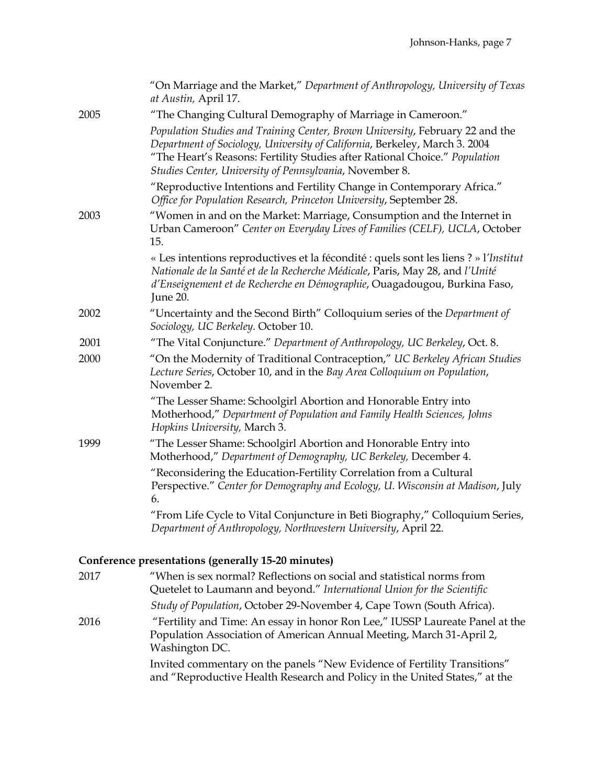|      | "On Marriage and the Market," Department of Anthropology, University of Texas<br>at Austin, April 17.                                                                                                                                                                                                |
|------|------------------------------------------------------------------------------------------------------------------------------------------------------------------------------------------------------------------------------------------------------------------------------------------------------|
| 2005 | "The Changing Cultural Demography of Marriage in Cameroon."                                                                                                                                                                                                                                          |
|      | Population Studies and Training Center, Brown University, February 22 and the<br>Department of Sociology, University of California, Berkeley, March 3. 2004<br>"The Heart's Reasons: Fertility Studies after Rational Choice." Population<br>Studies Center, University of Pennsylvania, November 8. |
|      | "Reproductive Intentions and Fertility Change in Contemporary Africa."<br>Office for Population Research, Princeton University, September 28.                                                                                                                                                        |
| 2003 | "Women in and on the Market: Marriage, Consumption and the Internet in<br>Urban Cameroon" Center on Everyday Lives of Families (CELF), UCLA, October<br>15.                                                                                                                                          |
|      | « Les intentions reproductives et la fécondité : quels sont les liens ? » l'Institut<br>Nationale de la Santé et de la Recherche Médicale, Paris, May 28, and l'Unité<br>d'Enseignement et de Recherche en Démographie, Ouagadougou, Burkina Faso,<br>June 20.                                       |
| 2002 | "Uncertainty and the Second Birth" Colloquium series of the Department of<br>Sociology, UC Berkeley. October 10.                                                                                                                                                                                     |
| 2001 | "The Vital Conjuncture." Department of Anthropology, UC Berkeley, Oct. 8.                                                                                                                                                                                                                            |
| 2000 | "On the Modernity of Traditional Contraception," UC Berkeley African Studies<br>Lecture Series, October 10, and in the Bay Area Colloquium on Population,<br>November 2.                                                                                                                             |
|      | "The Lesser Shame: Schoolgirl Abortion and Honorable Entry into<br>Motherhood," Department of Population and Family Health Sciences, Johns<br>Hopkins University, March 3.                                                                                                                           |
| 1999 | "The Lesser Shame: Schoolgirl Abortion and Honorable Entry into<br>Motherhood," Department of Demography, UC Berkeley, December 4.                                                                                                                                                                   |
|      | "Reconsidering the Education-Fertility Correlation from a Cultural<br>Perspective." Center for Demography and Ecology, U. Wisconsin at Madison, July<br>6.                                                                                                                                           |
|      | "From Life Cycle to Vital Conjuncture in Beti Biography," Colloquium Series,<br>Department of Anthropology, Northwestern University, April 22.                                                                                                                                                       |

# **Conference presentations (generally 15-20 minutes)**

| 2017 | "When is sex normal? Reflections on social and statistical norms from<br>Quetelet to Laumann and beyond." International Union for the Scientific                       |
|------|------------------------------------------------------------------------------------------------------------------------------------------------------------------------|
|      | Study of Population, October 29-November 4, Cape Town (South Africa).                                                                                                  |
| 2016 | "Fertility and Time: An essay in honor Ron Lee," IUSSP Laureate Panel at the<br>Population Association of American Annual Meeting, March 31-April 2,<br>Washington DC. |
|      | Invited commentary on the panels "New Evidence of Fertility Transitions"<br>and "Reproductive Health Research and Policy in the United States," at the                 |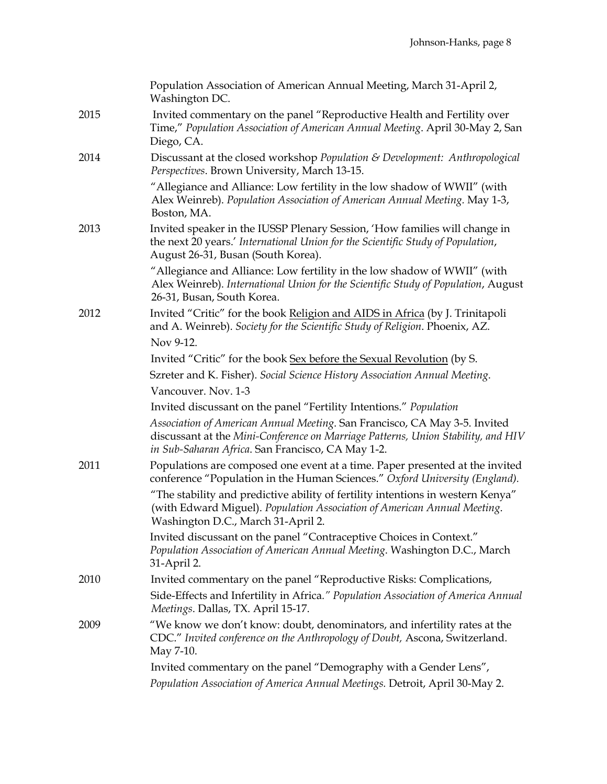|      | Population Association of American Annual Meeting, March 31-April 2,<br>Washington DC.                                                                                                                              |
|------|---------------------------------------------------------------------------------------------------------------------------------------------------------------------------------------------------------------------|
| 2015 | Invited commentary on the panel "Reproductive Health and Fertility over<br>Time," Population Association of American Annual Meeting. April 30-May 2, San<br>Diego, CA.                                              |
| 2014 | Discussant at the closed workshop Population & Development: Anthropological<br>Perspectives. Brown University, March 13-15.                                                                                         |
|      | "Allegiance and Alliance: Low fertility in the low shadow of WWII" (with<br>Alex Weinreb). Population Association of American Annual Meeting. May 1-3,<br>Boston, MA.                                               |
| 2013 | Invited speaker in the IUSSP Plenary Session, 'How families will change in<br>the next 20 years.' International Union for the Scientific Study of Population,<br>August 26-31, Busan (South Korea).                 |
|      | "Allegiance and Alliance: Low fertility in the low shadow of WWII" (with<br>Alex Weinreb). International Union for the Scientific Study of Population, August<br>26-31, Busan, South Korea.                         |
| 2012 | Invited "Critic" for the book Religion and AIDS in Africa (by J. Trinitapoli<br>and A. Weinreb). Society for the Scientific Study of Religion. Phoenix, AZ.<br>Nov 9-12.                                            |
|      | Invited "Critic" for the book Sex before the Sexual Revolution (by S.                                                                                                                                               |
|      | Szreter and K. Fisher). Social Science History Association Annual Meeting.                                                                                                                                          |
|      | Vancouver. Nov. 1-3                                                                                                                                                                                                 |
|      | Invited discussant on the panel "Fertility Intentions." Population                                                                                                                                                  |
|      | Association of American Annual Meeting. San Francisco, CA May 3-5. Invited<br>discussant at the Mini-Conference on Marriage Patterns, Union Stability, and HIV<br>in Sub-Saharan Africa. San Francisco, CA May 1-2. |
| 2011 | Populations are composed one event at a time. Paper presented at the invited<br>conference "Population in the Human Sciences." Oxford University (England).                                                         |
|      | "The stability and predictive ability of fertility intentions in western Kenya"<br>(with Edward Miguel). Population Association of American Annual Meeting.<br>Washington D.C., March 31-April 2.                   |
|      | Invited discussant on the panel "Contraceptive Choices in Context."<br>Population Association of American Annual Meeting. Washington D.C., March<br>31-April 2.                                                     |
| 2010 | Invited commentary on the panel "Reproductive Risks: Complications,                                                                                                                                                 |
|      | Side-Effects and Infertility in Africa." Population Association of America Annual<br>Meetings. Dallas, TX. April 15-17.                                                                                             |
| 2009 | "We know we don't know: doubt, denominators, and infertility rates at the<br>CDC." Invited conference on the Anthropology of Doubt, Ascona, Switzerland.<br>May 7-10.                                               |
|      | Invited commentary on the panel "Demography with a Gender Lens",                                                                                                                                                    |
|      | Population Association of America Annual Meetings. Detroit, April 30-May 2.                                                                                                                                         |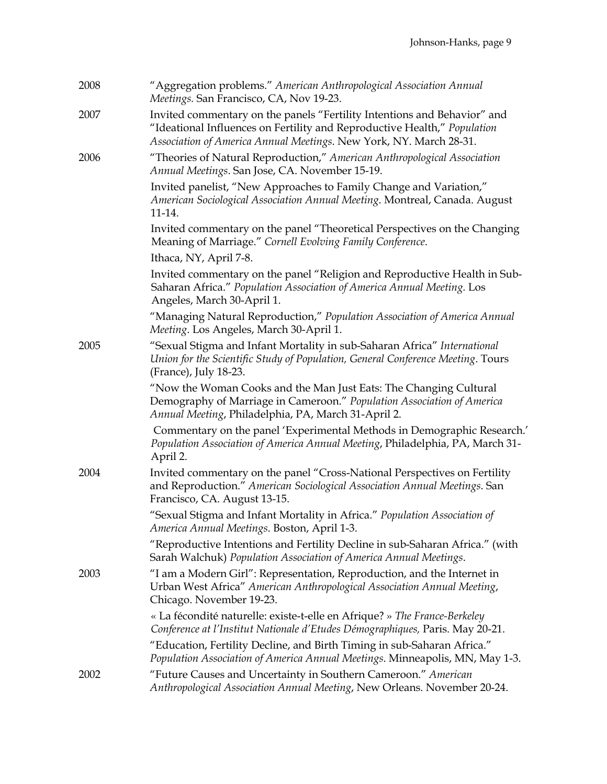| 2008 | "Aggregation problems." American Anthropological Association Annual<br>Meetings. San Francisco, CA, Nov 19-23.                                                                                                             |
|------|----------------------------------------------------------------------------------------------------------------------------------------------------------------------------------------------------------------------------|
| 2007 | Invited commentary on the panels "Fertility Intentions and Behavior" and<br>"Ideational Influences on Fertility and Reproductive Health," Population<br>Association of America Annual Meetings. New York, NY. March 28-31. |
| 2006 | "Theories of Natural Reproduction," American Anthropological Association<br>Annual Meetings. San Jose, CA. November 15-19.                                                                                                 |
|      | Invited panelist, "New Approaches to Family Change and Variation,"<br>American Sociological Association Annual Meeting. Montreal, Canada. August<br>11-14.                                                                 |
|      | Invited commentary on the panel "Theoretical Perspectives on the Changing<br>Meaning of Marriage." Cornell Evolving Family Conference.                                                                                     |
|      | Ithaca, NY, April 7-8.                                                                                                                                                                                                     |
|      | Invited commentary on the panel "Religion and Reproductive Health in Sub-<br>Saharan Africa." Population Association of America Annual Meeting. Los<br>Angeles, March 30-April 1.                                          |
|      | "Managing Natural Reproduction," Population Association of America Annual<br>Meeting. Los Angeles, March 30-April 1.                                                                                                       |
| 2005 | "Sexual Stigma and Infant Mortality in sub-Saharan Africa" International<br>Union for the Scientific Study of Population, General Conference Meeting. Tours<br>(France), July 18-23.                                       |
|      | "Now the Woman Cooks and the Man Just Eats: The Changing Cultural<br>Demography of Marriage in Cameroon." Population Association of America<br>Annual Meeting, Philadelphia, PA, March 31-April 2.                         |
|      | Commentary on the panel 'Experimental Methods in Demographic Research.'<br>Population Association of America Annual Meeting, Philadelphia, PA, March 31-<br>April 2.                                                       |
| 2004 | Invited commentary on the panel "Cross-National Perspectives on Fertility<br>and Reproduction." American Sociological Association Annual Meetings. San<br>Francisco, CA. August 13-15.                                     |
|      | "Sexual Stigma and Infant Mortality in Africa." Population Association of<br>America Annual Meetings. Boston, April 1-3.                                                                                                   |
|      | "Reproductive Intentions and Fertility Decline in sub-Saharan Africa." (with<br>Sarah Walchuk) Population Association of America Annual Meetings.                                                                          |
| 2003 | "I am a Modern Girl": Representation, Reproduction, and the Internet in<br>Urban West Africa" American Anthropological Association Annual Meeting,<br>Chicago. November 19-23.                                             |
|      | « La fécondité naturelle: existe-t-elle en Afrique? » The France-Berkeley<br>Conference at l'Institut Nationale d'Etudes Démographiques, Paris. May 20-21.                                                                 |
|      | "Education, Fertility Decline, and Birth Timing in sub-Saharan Africa."<br>Population Association of America Annual Meetings. Minneapolis, MN, May 1-3.                                                                    |
| 2002 | "Future Causes and Uncertainty in Southern Cameroon." American<br>Anthropological Association Annual Meeting, New Orleans. November 20-24.                                                                                 |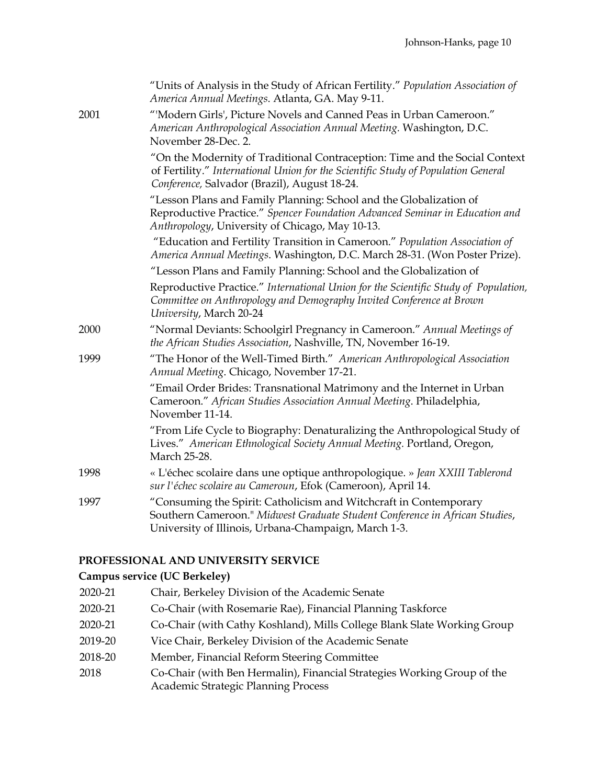|      | "Units of Analysis in the Study of African Fertility." Population Association of<br>America Annual Meetings. Atlanta, GA. May 9-11.                                                                              |
|------|------------------------------------------------------------------------------------------------------------------------------------------------------------------------------------------------------------------|
| 2001 | "'Modern Girls', Picture Novels and Canned Peas in Urban Cameroon."<br>American Anthropological Association Annual Meeting. Washington, D.C.<br>November 28-Dec. 2.                                              |
|      | "On the Modernity of Traditional Contraception: Time and the Social Context<br>of Fertility." International Union for the Scientific Study of Population General<br>Conference, Salvador (Brazil), August 18-24. |
|      | "Lesson Plans and Family Planning: School and the Globalization of<br>Reproductive Practice." Spencer Foundation Advanced Seminar in Education and<br>Anthropology, University of Chicago, May 10-13.            |
|      | "Education and Fertility Transition in Cameroon." Population Association of<br>America Annual Meetings. Washington, D.C. March 28-31. (Won Poster Prize).                                                        |
|      | "Lesson Plans and Family Planning: School and the Globalization of                                                                                                                                               |
|      | Reproductive Practice." International Union for the Scientific Study of Population,<br>Committee on Anthropology and Demography Invited Conference at Brown<br>University, March 20-24                           |
| 2000 | "Normal Deviants: Schoolgirl Pregnancy in Cameroon." Annual Meetings of<br>the African Studies Association, Nashville, TN, November 16-19.                                                                       |
| 1999 | "The Honor of the Well-Timed Birth." American Anthropological Association<br>Annual Meeting. Chicago, November 17-21.                                                                                            |
|      | "Email Order Brides: Transnational Matrimony and the Internet in Urban<br>Cameroon." African Studies Association Annual Meeting. Philadelphia,<br>November 11-14.                                                |
|      | "From Life Cycle to Biography: Denaturalizing the Anthropological Study of<br>Lives." American Ethnological Society Annual Meeting. Portland, Oregon,<br>March 25-28.                                            |
| 1998 | « L'échec scolaire dans une optique anthropologique. » Jean XXIII Tablerond<br>sur l'échec scolaire au Cameroun, Efok (Cameroon), April 14.                                                                      |
| 1997 | "Consuming the Spirit: Catholicism and Witchcraft in Contemporary<br>Southern Cameroon." Midwest Graduate Student Conference in African Studies,<br>University of Illinois, Urbana-Champaign, March 1-3.         |

# **PROFESSIONAL AND UNIVERSITY SERVICE**

# **Campus service (UC Berkeley)**

2020-21 Chair, Berkeley Division of the Academic Senate 2020-21 Co-Chair (with Rosemarie Rae), Financial Planning Taskforce 2020-21 Co-Chair (with Cathy Koshland), Mills College Blank Slate Working Group 2019-20 Vice Chair, Berkeley Division of the Academic Senate 2018-20 Member, Financial Reform Steering Committee 2018 Co-Chair (with Ben Hermalin), Financial Strategies Working Group of the Academic Strategic Planning Process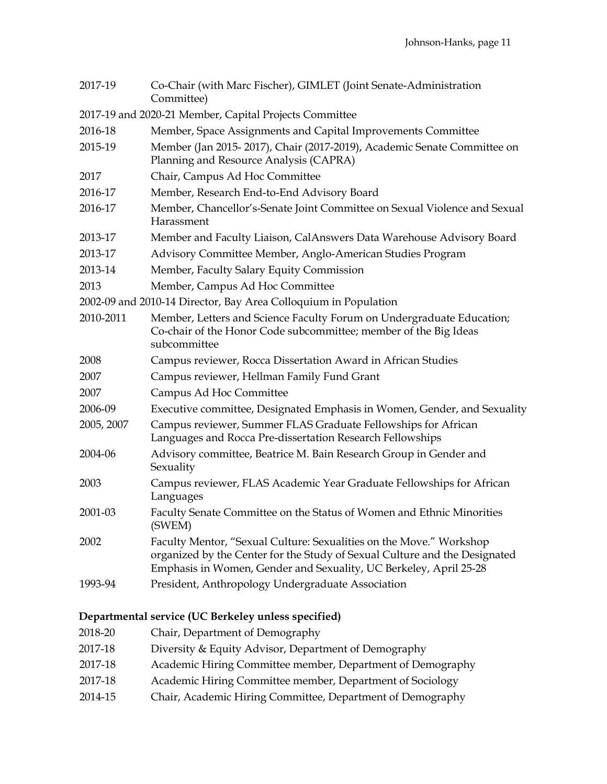| 2017-19    | Co-Chair (with Marc Fischer), GIMLET (Joint Senate-Administration<br>Committee)                                                                                                                                        |
|------------|------------------------------------------------------------------------------------------------------------------------------------------------------------------------------------------------------------------------|
|            | 2017-19 and 2020-21 Member, Capital Projects Committee                                                                                                                                                                 |
| 2016-18    | Member, Space Assignments and Capital Improvements Committee                                                                                                                                                           |
| 2015-19    | Member (Jan 2015-2017), Chair (2017-2019), Academic Senate Committee on<br>Planning and Resource Analysis (CAPRA)                                                                                                      |
| 2017       | Chair, Campus Ad Hoc Committee                                                                                                                                                                                         |
| 2016-17    | Member, Research End-to-End Advisory Board                                                                                                                                                                             |
| 2016-17    | Member, Chancellor's-Senate Joint Committee on Sexual Violence and Sexual<br>Harassment                                                                                                                                |
| 2013-17    | Member and Faculty Liaison, CalAnswers Data Warehouse Advisory Board                                                                                                                                                   |
| 2013-17    | Advisory Committee Member, Anglo-American Studies Program                                                                                                                                                              |
| 2013-14    | Member, Faculty Salary Equity Commission                                                                                                                                                                               |
| 2013       | Member, Campus Ad Hoc Committee                                                                                                                                                                                        |
|            | 2002-09 and 2010-14 Director, Bay Area Colloquium in Population                                                                                                                                                        |
| 2010-2011  | Member, Letters and Science Faculty Forum on Undergraduate Education;<br>Co-chair of the Honor Code subcommittee; member of the Big Ideas<br>subcommittee                                                              |
| 2008       | Campus reviewer, Rocca Dissertation Award in African Studies                                                                                                                                                           |
| 2007       | Campus reviewer, Hellman Family Fund Grant                                                                                                                                                                             |
| 2007       | Campus Ad Hoc Committee                                                                                                                                                                                                |
| 2006-09    | Executive committee, Designated Emphasis in Women, Gender, and Sexuality                                                                                                                                               |
| 2005, 2007 | Campus reviewer, Summer FLAS Graduate Fellowships for African<br>Languages and Rocca Pre-dissertation Research Fellowships                                                                                             |
| 2004-06    | Advisory committee, Beatrice M. Bain Research Group in Gender and<br>Sexuality                                                                                                                                         |
| 2003       | Campus reviewer, FLAS Academic Year Graduate Fellowships for African<br>Languages                                                                                                                                      |
| 2001-03    | Faculty Senate Committee on the Status of Women and Ethnic Minorities<br>(SWEM)                                                                                                                                        |
| 2002       | Faculty Mentor, "Sexual Culture: Sexualities on the Move." Workshop<br>organized by the Center for the Study of Sexual Culture and the Designated<br>Emphasis in Women, Gender and Sexuality, UC Berkeley, April 25-28 |
| 1993-94    | President, Anthropology Undergraduate Association                                                                                                                                                                      |

# **Departmental service (UC Berkeley unless specified)**

2018-20 Chair, Department of Demography 2017-18 Diversity & Equity Advisor, Department of Demography 2017-18 Academic Hiring Committee member, Department of Demography 2017-18 Academic Hiring Committee member, Department of Sociology 2014-15 Chair, Academic Hiring Committee, Department of Demography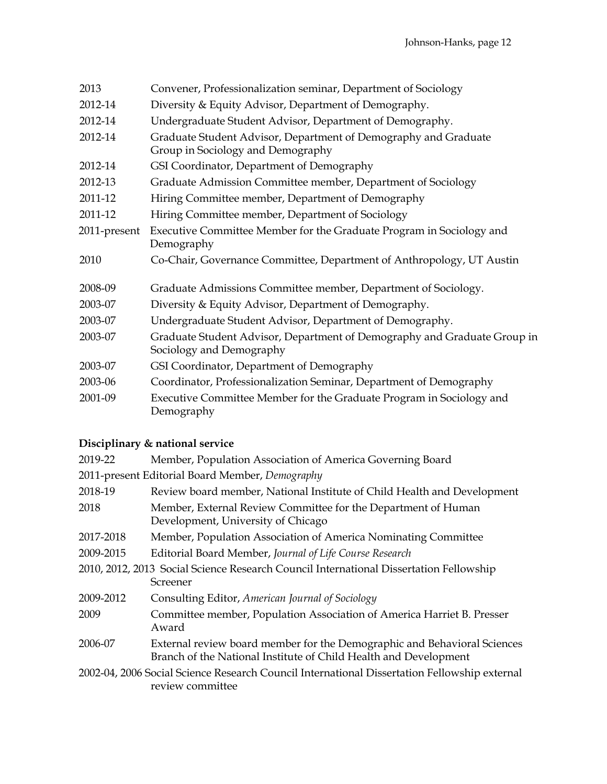| 2013         | Convener, Professionalization seminar, Department of Sociology                                       |
|--------------|------------------------------------------------------------------------------------------------------|
| 2012-14      | Diversity & Equity Advisor, Department of Demography.                                                |
| 2012-14      | Undergraduate Student Advisor, Department of Demography.                                             |
| 2012-14      | Graduate Student Advisor, Department of Demography and Graduate<br>Group in Sociology and Demography |
| 2012-14      | GSI Coordinator, Department of Demography                                                            |
| 2012-13      | Graduate Admission Committee member, Department of Sociology                                         |
| 2011-12      | Hiring Committee member, Department of Demography                                                    |
| 2011-12      | Hiring Committee member, Department of Sociology                                                     |
| 2011-present | Executive Committee Member for the Graduate Program in Sociology and<br>Demography                   |
| 2010         | Co-Chair, Governance Committee, Department of Anthropology, UT Austin                                |
| 2008-09      | Graduate Admissions Committee member, Department of Sociology.                                       |
| 2003-07      | Diversity & Equity Advisor, Department of Demography.                                                |
| 2003-07      | Undergraduate Student Advisor, Department of Demography.                                             |
| 2003-07      | Graduate Student Advisor, Department of Demography and Graduate Group in<br>Sociology and Demography |
| 2003-07      | GSI Coordinator, Department of Demography                                                            |
| 2003-06      | Coordinator, Professionalization Seminar, Department of Demography                                   |
| 2001-09      | Executive Committee Member for the Graduate Program in Sociology and<br>Demography                   |

# **Disciplinary & national service**

| 2019-22   | Member, Population Association of America Governing Board                                                                                    |
|-----------|----------------------------------------------------------------------------------------------------------------------------------------------|
|           | 2011-present Editorial Board Member, Demography                                                                                              |
| 2018-19   | Review board member, National Institute of Child Health and Development                                                                      |
| 2018      | Member, External Review Committee for the Department of Human<br>Development, University of Chicago                                          |
| 2017-2018 | Member, Population Association of America Nominating Committee                                                                               |
| 2009-2015 | Editorial Board Member, Journal of Life Course Research                                                                                      |
|           | 2010, 2012, 2013 Social Science Research Council International Dissertation Fellowship<br>Screener                                           |
| 2009-2012 | Consulting Editor, American Journal of Sociology                                                                                             |
| 2009      | Committee member, Population Association of America Harriet B. Presser<br>Award                                                              |
| 2006-07   | External review board member for the Demographic and Behavioral Sciences<br>Branch of the National Institute of Child Health and Development |
|           | 2002-04, 2006 Social Science Research Council International Dissertation Fellowship external<br>review committee                             |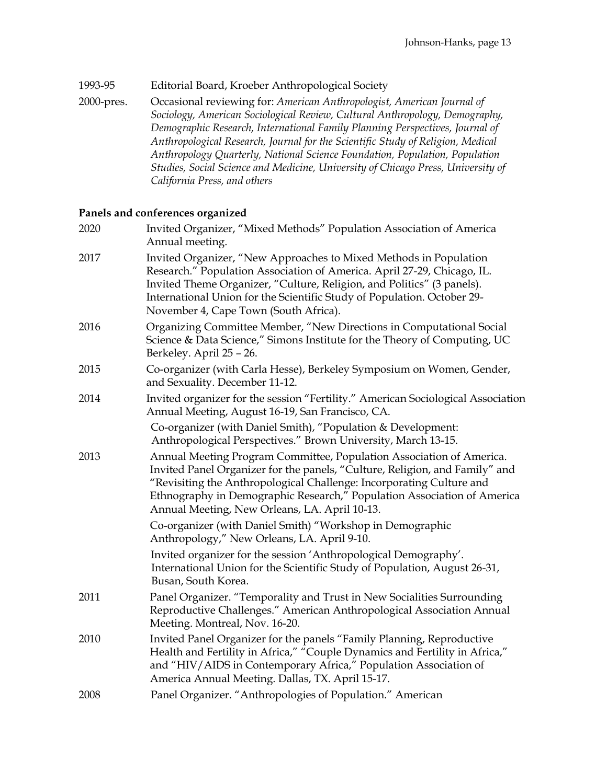### 1993-95 Editorial Board, Kroeber Anthropological Society

2000-pres. Occasional reviewing for: *American Anthropologist, American Journal of Sociology, American Sociological Review, Cultural Anthropology, Demography, Demographic Research, International Family Planning Perspectives, Journal of Anthropological Research, Journal for the Scientific Study of Religion, Medical Anthropology Quarterly, National Science Foundation, Population, Population Studies, Social Science and Medicine, University of Chicago Press, University of California Press, and others*

### **Panels and conferences organized**

| 2020 | Invited Organizer, "Mixed Methods" Population Association of America<br>Annual meeting.                                                                                                                                                                                                                                                                 |
|------|---------------------------------------------------------------------------------------------------------------------------------------------------------------------------------------------------------------------------------------------------------------------------------------------------------------------------------------------------------|
| 2017 | Invited Organizer, "New Approaches to Mixed Methods in Population<br>Research." Population Association of America. April 27-29, Chicago, IL.<br>Invited Theme Organizer, "Culture, Religion, and Politics" (3 panels).<br>International Union for the Scientific Study of Population. October 29-<br>November 4, Cape Town (South Africa).              |
| 2016 | Organizing Committee Member, "New Directions in Computational Social<br>Science & Data Science," Simons Institute for the Theory of Computing, UC<br>Berkeley. April 25 - 26.                                                                                                                                                                           |
| 2015 | Co-organizer (with Carla Hesse), Berkeley Symposium on Women, Gender,<br>and Sexuality. December 11-12.                                                                                                                                                                                                                                                 |
| 2014 | Invited organizer for the session "Fertility." American Sociological Association<br>Annual Meeting, August 16-19, San Francisco, CA.                                                                                                                                                                                                                    |
|      | Co-organizer (with Daniel Smith), "Population & Development:<br>Anthropological Perspectives." Brown University, March 13-15.                                                                                                                                                                                                                           |
| 2013 | Annual Meeting Program Committee, Population Association of America.<br>Invited Panel Organizer for the panels, "Culture, Religion, and Family" and<br>"Revisiting the Anthropological Challenge: Incorporating Culture and<br>Ethnography in Demographic Research," Population Association of America<br>Annual Meeting, New Orleans, LA. April 10-13. |
|      | Co-organizer (with Daniel Smith) "Workshop in Demographic<br>Anthropology," New Orleans, LA. April 9-10.                                                                                                                                                                                                                                                |
|      | Invited organizer for the session 'Anthropological Demography'.<br>International Union for the Scientific Study of Population, August 26-31,<br>Busan, South Korea.                                                                                                                                                                                     |
| 2011 | Panel Organizer. "Temporality and Trust in New Socialities Surrounding<br>Reproductive Challenges." American Anthropological Association Annual<br>Meeting. Montreal, Nov. 16-20.                                                                                                                                                                       |
| 2010 | Invited Panel Organizer for the panels "Family Planning, Reproductive<br>Health and Fertility in Africa," "Couple Dynamics and Fertility in Africa,"<br>and "HIV/AIDS in Contemporary Africa," Population Association of<br>America Annual Meeting. Dallas, TX. April 15-17.                                                                            |
| 2008 | Panel Organizer. "Anthropologies of Population." American                                                                                                                                                                                                                                                                                               |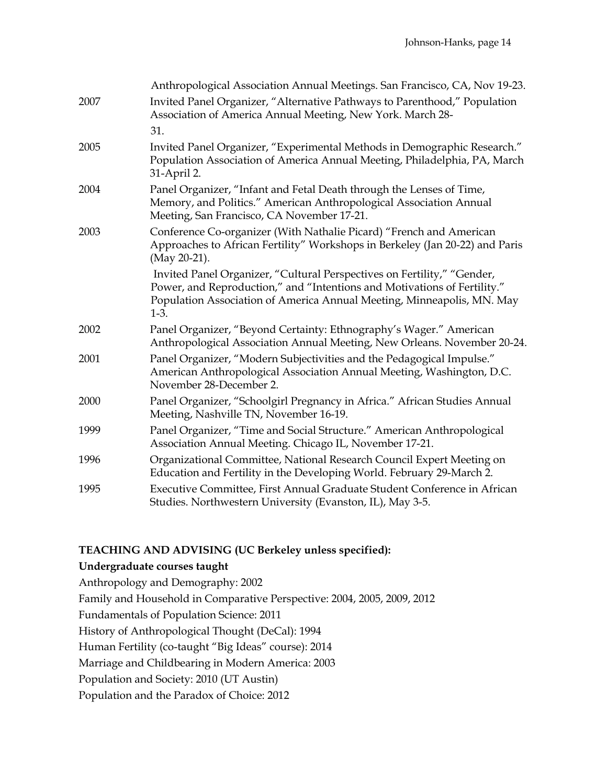|      | Anthropological Association Annual Meetings. San Francisco, CA, Nov 19-23.                                                                                                                                                              |
|------|-----------------------------------------------------------------------------------------------------------------------------------------------------------------------------------------------------------------------------------------|
| 2007 | Invited Panel Organizer, "Alternative Pathways to Parenthood," Population<br>Association of America Annual Meeting, New York. March 28-                                                                                                 |
|      | 31.                                                                                                                                                                                                                                     |
| 2005 | Invited Panel Organizer, "Experimental Methods in Demographic Research."<br>Population Association of America Annual Meeting, Philadelphia, PA, March<br>31-April 2.                                                                    |
| 2004 | Panel Organizer, "Infant and Fetal Death through the Lenses of Time,<br>Memory, and Politics." American Anthropological Association Annual<br>Meeting, San Francisco, CA November 17-21.                                                |
| 2003 | Conference Co-organizer (With Nathalie Picard) "French and American<br>Approaches to African Fertility" Workshops in Berkeley (Jan 20-22) and Paris<br>(May 20-21).                                                                     |
|      | Invited Panel Organizer, "Cultural Perspectives on Fertility," "Gender,<br>Power, and Reproduction," and "Intentions and Motivations of Fertility."<br>Population Association of America Annual Meeting, Minneapolis, MN. May<br>$1-3.$ |
| 2002 | Panel Organizer, "Beyond Certainty: Ethnography's Wager." American<br>Anthropological Association Annual Meeting, New Orleans. November 20-24.                                                                                          |
| 2001 | Panel Organizer, "Modern Subjectivities and the Pedagogical Impulse."<br>American Anthropological Association Annual Meeting, Washington, D.C.<br>November 28-December 2.                                                               |
| 2000 | Panel Organizer, "Schoolgirl Pregnancy in Africa." African Studies Annual<br>Meeting, Nashville TN, November 16-19.                                                                                                                     |
| 1999 | Panel Organizer, "Time and Social Structure." American Anthropological<br>Association Annual Meeting. Chicago IL, November 17-21.                                                                                                       |
| 1996 | Organizational Committee, National Research Council Expert Meeting on<br>Education and Fertility in the Developing World. February 29-March 2.                                                                                          |
| 1995 | Executive Committee, First Annual Graduate Student Conference in African<br>Studies. Northwestern University (Evanston, IL), May 3-5.                                                                                                   |

# **TEACHING AND ADVISING (UC Berkeley unless specified):**

#### **Undergraduate courses taught**

Anthropology and Demography: 2002 Family and Household in Comparative Perspective: 2004, 2005, 2009, 2012 Fundamentals of Population Science: 2011 History of Anthropological Thought (DeCal): 1994 Human Fertility (co-taught "Big Ideas" course): 2014 Marriage and Childbearing in Modern America: 2003 Population and Society: 2010 (UT Austin) Population and the Paradox of Choice: 2012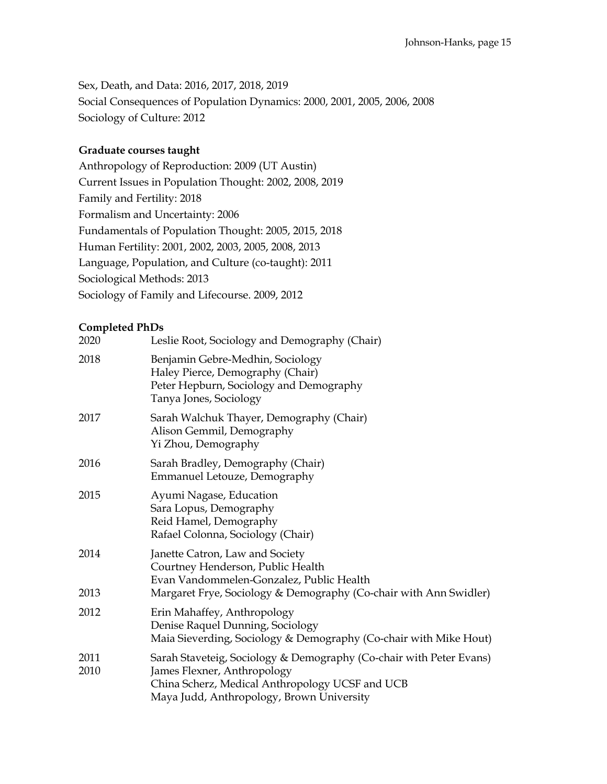Sex, Death, and Data: 2016, 2017, 2018, 2019 Social Consequences of Population Dynamics: 2000, 2001, 2005, 2006, 2008 Sociology of Culture: 2012

### **Graduate courses taught**

Anthropology of Reproduction: 2009 (UT Austin) Current Issues in Population Thought: 2002, 2008, 2019 Family and Fertility: 2018 Formalism and Uncertainty: 2006 Fundamentals of Population Thought: 2005, 2015, 2018 Human Fertility: 2001, 2002, 2003, 2005, 2008, 2013 Language, Population, and Culture (co-taught): 2011 Sociological Methods: 2013 Sociology of Family and Lifecourse. 2009, 2012

### **Completed PhDs**

| 2020         | Leslie Root, Sociology and Demography (Chair)                                                                                                                                                      |
|--------------|----------------------------------------------------------------------------------------------------------------------------------------------------------------------------------------------------|
| 2018         | Benjamin Gebre-Medhin, Sociology<br>Haley Pierce, Demography (Chair)<br>Peter Hepburn, Sociology and Demography<br>Tanya Jones, Sociology                                                          |
| 2017         | Sarah Walchuk Thayer, Demography (Chair)<br>Alison Gemmil, Demography<br>Yi Zhou, Demography                                                                                                       |
| 2016         | Sarah Bradley, Demography (Chair)<br>Emmanuel Letouze, Demography                                                                                                                                  |
| 2015         | Ayumi Nagase, Education<br>Sara Lopus, Demography<br>Reid Hamel, Demography<br>Rafael Colonna, Sociology (Chair)                                                                                   |
| 2014         | Janette Catron, Law and Society<br>Courtney Henderson, Public Health<br>Evan Vandommelen-Gonzalez, Public Health                                                                                   |
| 2013         | Margaret Frye, Sociology & Demography (Co-chair with Ann Swidler)                                                                                                                                  |
| 2012         | Erin Mahaffey, Anthropology<br>Denise Raquel Dunning, Sociology<br>Maia Sieverding, Sociology & Demography (Co-chair with Mike Hout)                                                               |
| 2011<br>2010 | Sarah Staveteig, Sociology & Demography (Co-chair with Peter Evans)<br>James Flexner, Anthropology<br>China Scherz, Medical Anthropology UCSF and UCB<br>Maya Judd, Anthropology, Brown University |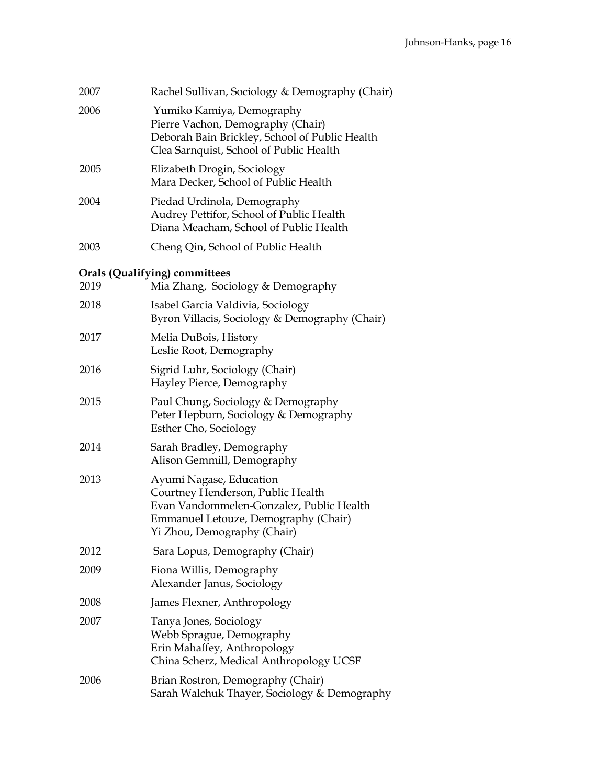| 2007 | Rachel Sullivan, Sociology & Demography (Chair)                                                                                                                                 |
|------|---------------------------------------------------------------------------------------------------------------------------------------------------------------------------------|
| 2006 | Yumiko Kamiya, Demography<br>Pierre Vachon, Demography (Chair)<br>Deborah Bain Brickley, School of Public Health<br>Clea Sarnquist, School of Public Health                     |
| 2005 | Elizabeth Drogin, Sociology<br>Mara Decker, School of Public Health                                                                                                             |
| 2004 | Piedad Urdinola, Demography<br>Audrey Pettifor, School of Public Health<br>Diana Meacham, School of Public Health                                                               |
| 2003 | Cheng Qin, School of Public Health                                                                                                                                              |
| 2019 | <b>Orals (Qualifying) committees</b><br>Mia Zhang, Sociology & Demography                                                                                                       |
| 2018 | Isabel Garcia Valdivia, Sociology<br>Byron Villacis, Sociology & Demography (Chair)                                                                                             |
| 2017 | Melia DuBois, History<br>Leslie Root, Demography                                                                                                                                |
| 2016 | Sigrid Luhr, Sociology (Chair)<br>Hayley Pierce, Demography                                                                                                                     |
| 2015 | Paul Chung, Sociology & Demography<br>Peter Hepburn, Sociology & Demography<br>Esther Cho, Sociology                                                                            |
| 2014 | Sarah Bradley, Demography<br>Alison Gemmill, Demography                                                                                                                         |
| 2013 | Ayumi Nagase, Education<br>Courtney Henderson, Public Health<br>Evan Vandommelen-Gonzalez, Public Health<br>Emmanuel Letouze, Demography (Chair)<br>Yi Zhou, Demography (Chair) |
| 2012 | Sara Lopus, Demography (Chair)                                                                                                                                                  |
| 2009 | Fiona Willis, Demography<br>Alexander Janus, Sociology                                                                                                                          |
| 2008 | James Flexner, Anthropology                                                                                                                                                     |
| 2007 | Tanya Jones, Sociology<br>Webb Sprague, Demography<br>Erin Mahaffey, Anthropology<br>China Scherz, Medical Anthropology UCSF                                                    |
| 2006 | Brian Rostron, Demography (Chair)<br>Sarah Walchuk Thayer, Sociology & Demography                                                                                               |